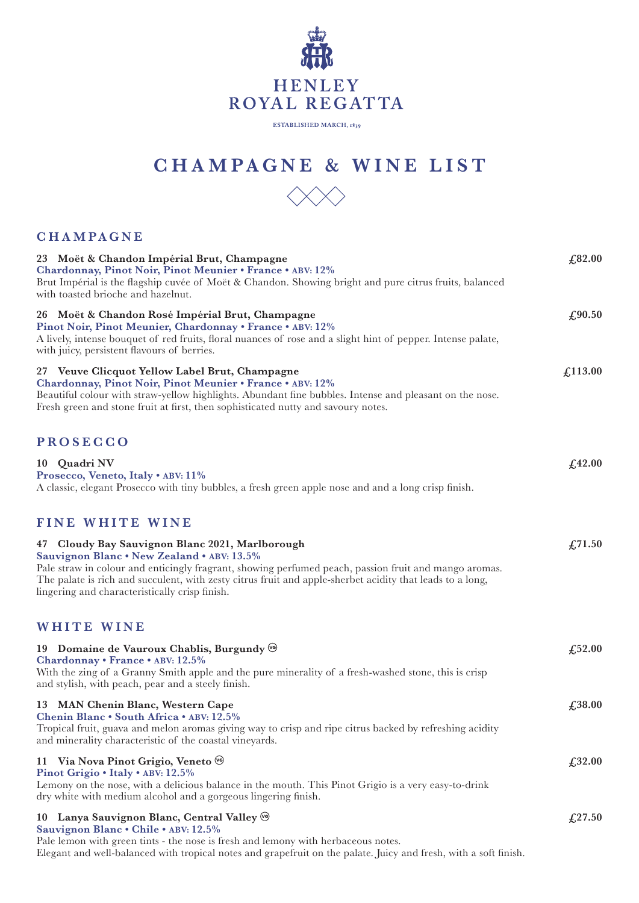

## **HENLEY** ROYAL REGATTA

ESTABLISHED MARCH, 1839

## **CHAMPAGN E & WINE LIST**



## **CHAMPAGNE**

| 23 Moët & Chandon Impérial Brut, Champagne<br>Chardonnay, Pinot Noir, Pinot Meunier • France • ABV: 12%<br>Brut Impérial is the flagship cuvée of Moët & Chandon. Showing bright and pure citrus fruits, balanced<br>with toasted brioche and hazelnut.                                                                                                               | £82.00       |
|-----------------------------------------------------------------------------------------------------------------------------------------------------------------------------------------------------------------------------------------------------------------------------------------------------------------------------------------------------------------------|--------------|
| 26 Moët & Chandon Rosé Impérial Brut, Champagne<br>Pinot Noir, Pinot Meunier, Chardonnay • France • ABV: 12%<br>A lively, intense bouquet of red fruits, floral nuances of rose and a slight hint of pepper. Intense palate,<br>with juicy, persistent flavours of berries.                                                                                           | £90.50       |
| 27 Veuve Clicquot Yellow Label Brut, Champagne<br>Chardonnay, Pinot Noir, Pinot Meunier • France • ABV: 12%<br>Beautiful colour with straw-yellow highlights. Abundant fine bubbles. Intense and pleasant on the nose.<br>Fresh green and stone fruit at first, then sophisticated nutty and savoury notes.                                                           | £113.00      |
| <b>PROSECCO</b>                                                                                                                                                                                                                                                                                                                                                       |              |
| 10 Quadri NV<br>Prosecco, Veneto, Italy . ABV: 11%<br>A classic, elegant Prosecco with tiny bubbles, a fresh green apple nose and and a long crisp finish.                                                                                                                                                                                                            | £42.00       |
| <b>FINE WHITE WINE</b>                                                                                                                                                                                                                                                                                                                                                |              |
| 47 Cloudy Bay Sauvignon Blanc 2021, Marlborough<br>Sauvignon Blanc . New Zealand . ABV: 13.5%<br>Pale straw in colour and enticingly fragrant, showing perfumed peach, passion fruit and mango aromas.<br>The palate is rich and succulent, with zesty citrus fruit and apple-sherbet acidity that leads to a long,<br>lingering and characteristically crisp finish. | £,71.50      |
| <b>WHITE WINE</b>                                                                                                                                                                                                                                                                                                                                                     |              |
| 19 Domaine de Vauroux Chablis, Burgundy (6)<br>Chardonnay • France • ABV: 12.5%<br>With the zing of a Granny Smith apple and the pure minerality of a fresh-washed stone, this is crisp<br>and stylish, with peach, pear and a steely finish.                                                                                                                         | $f_{1}52.00$ |
| 13 MAN Chenin Blanc, Western Cape<br>Chenin Blanc • South Africa • ABV: 12.5%<br>Tropical fruit, guava and melon aromas giving way to crisp and ripe citrus backed by refreshing acidity<br>and minerality characteristic of the coastal vineyards.                                                                                                                   | £38.00       |
| 11 Via Nova Pinot Grigio, Veneto (6)<br>Pinot Grigio . Italy . ABV: 12.5%<br>Lemony on the nose, with a delicious balance in the mouth. This Pinot Grigio is a very easy-to-drink<br>dry white with medium alcohol and a gorgeous lingering finish.                                                                                                                   | £32.00       |
| 10 Lanya Sauvignon Blanc, Central Valley (c)<br>Sauvignon Blanc . Chile . ABV: 12.5%<br>Pale lemon with green tints - the nose is fresh and lemony with herbaceous notes.<br>Elegant and well-balanced with tropical notes and grapefruit on the palate. Juicy and fresh, with a soft finish.                                                                         | £27.50       |